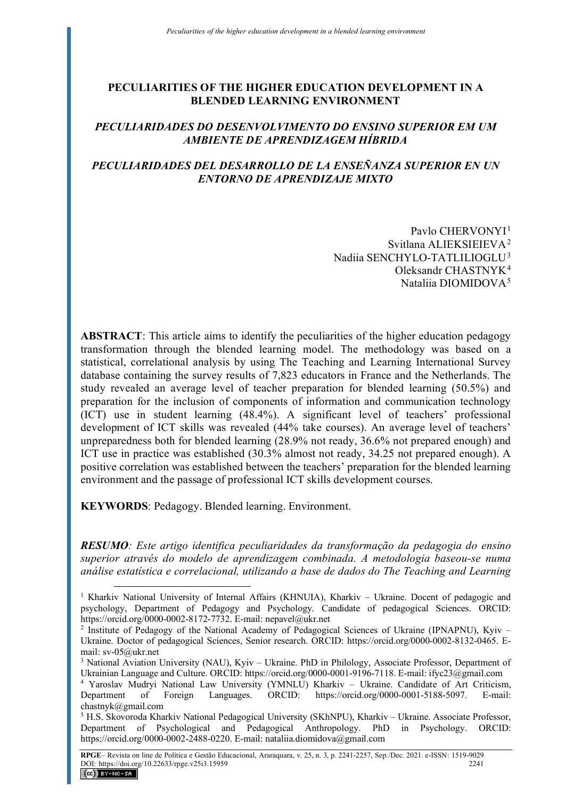### **PECULIARITIES OF THE HIGHER EDUCATION DEVELOPMENT IN A BLENDED LEARNING ENVIRONMENT**

# *PECULIARIDADES DO DESENVOLVIMENTO DO ENSINO SUPERIOR EM UM AMBIENTE DE APRENDIZAGEM HÍBRIDA*

# *PECULIARIDADES DEL DESARROLLO DE LA ENSEÑANZA SUPERIOR EN UN ENTORNO DE APRENDIZAJE MIXTO*

Pavlo CHERVONY<sup>[1](#page-0-0)</sup> Svitlana ALIEKSIEIEVA[2](#page-0-1)  Nadiia SENCHYLO-TATLILIOGLU[3](#page-0-2)  Oleksandr CHASTNYK[4](#page-0-3)  Nataliia DIOMIDOVA[5](#page-0-4)

**ABSTRACT**: This article aims to identify the peculiarities of the higher education pedagogy transformation through the blended learning model. The methodology was based on a statistical, correlational analysis by using The Teaching and Learning International Survey database containing the survey results of 7,823 educators in France and the Netherlands. The study revealed an average level of teacher preparation for blended learning (50.5%) and preparation for the inclusion of components of information and communication technology (ICT) use in student learning (48.4%). A significant level of teachers' professional development of ICT skills was revealed (44% take courses). An average level of teachers' unpreparedness both for blended learning (28.9% not ready, 36.6% not prepared enough) and ICT use in practice was established (30.3% almost not ready, 34.25 not prepared enough). A positive correlation was established between the teachers' preparation for the blended learning environment and the passage of professional ICT skills development courses.

**KEYWORDS**: Pedagogy. Blended learning. Environment.

*RESUMO: Este artigo identifica peculiaridades da transformação da pedagogia do ensino superior através do modelo de aprendizagem combinada. A metodologia baseou-se numa análise estatística e correlacional, utilizando a base de dados do The Teaching and Learning* 

<span id="page-0-0"></span><sup>&</sup>lt;sup>1</sup> Kharkiv National University of Internal Affairs (KHNUIA), Kharkiv - Ukraine. Docent of pedagogic and psychology, Department of Pedagogy and Psychology. Candidate of pedagogical Sciences. ORCID: https://orcid.org/0000-0002-8172-7732. E-mail: nepavel@ukr.net

<span id="page-0-1"></span><sup>&</sup>lt;sup>2</sup> Institute of Pedagogy of the National Academy of Pedagogical Sciences of Ukraine (IPNAPNU), Kyiv -Ukraine. Doctor of pedagogical Sciences, Senior research. ORCID: https://orcid.org/0000-0002-8132-0465. Email: sv-05@ukr.net

<span id="page-0-2"></span><sup>3</sup> National Aviation University (NAU), Kyiv – Ukraine. PhD in Philology, Associate Professor, Department of Ukrainian Language and Culture. ORCID: https://orcid.org/0000-0001-9196-7118. E-mail: ifyc23@gmail.com

<span id="page-0-3"></span><sup>4</sup> Yaroslav Mudryi National Law University (YMNLU) Kharkiv – Ukraine. Candidate of Art Criticism, Department of Foreign Languages. ORCID: https://orcid.org/0000-0001-5188-5097. E-mail: chastnyk@gmail.com

<span id="page-0-4"></span><sup>&</sup>lt;sup>5</sup> H.S. Skovoroda Kharkiv National Pedagogical University (SKhNPU), Kharkiv - Ukraine. Associate Professor, Department of Psychological and Pedagogical Anthropology. PhD in Psychology. ORCID: https://orcid.org/0000-0002-2488-0220. E-mail: nataliia.diomidova@gmail.com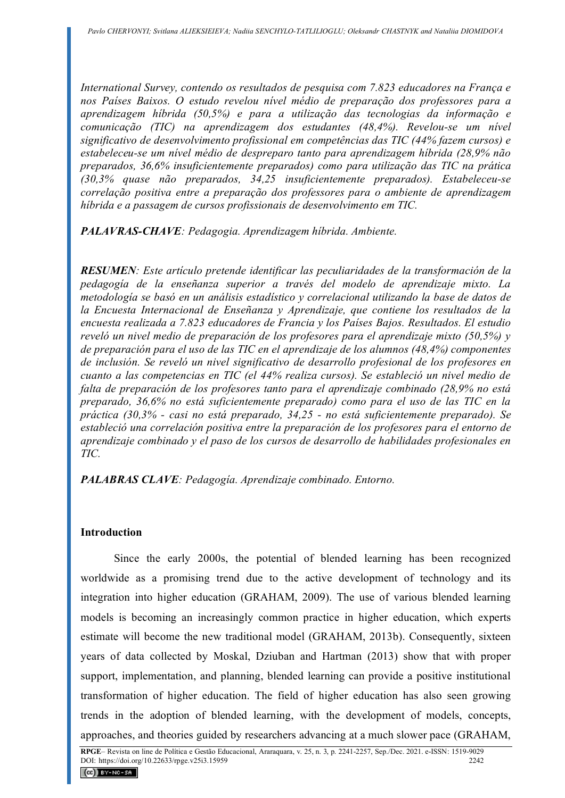*International Survey, contendo os resultados de pesquisa com 7.823 educadores na França e nos Países Baixos. O estudo revelou nível médio de preparação dos professores para a aprendizagem híbrida (50,5%) e para a utilização das tecnologias da informação e comunicação (TIC) na aprendizagem dos estudantes (48,4%). Revelou-se um nível significativo de desenvolvimento profissional em competências das TIC (44% fazem cursos) e estabeleceu-se um nível médio de despreparo tanto para aprendizagem híbrida (28,9% não preparados, 36,6% insuficientemente preparados) como para utilização das TIC na prática (30,3% quase não preparados, 34,25 insuficientemente preparados). Estabeleceu-se correlação positiva entre a preparação dos professores para o ambiente de aprendizagem híbrida e a passagem de cursos profissionais de desenvolvimento em TIC.*

*PALAVRAS-CHAVE: Pedagogia. Aprendizagem híbrida. Ambiente.* 

*RESUMEN: Este artículo pretende identificar las peculiaridades de la transformación de la pedagogía de la enseñanza superior a través del modelo de aprendizaje mixto. La metodología se basó en un análisis estadístico y correlacional utilizando la base de datos de la Encuesta Internacional de Enseñanza y Aprendizaje, que contiene los resultados de la encuesta realizada a 7.823 educadores de Francia y los Países Bajos. Resultados. El estudio reveló un nivel medio de preparación de los profesores para el aprendizaje mixto (50,5%) y de preparación para el uso de las TIC en el aprendizaje de los alumnos (48,4%) componentes de inclusión. Se reveló un nivel significativo de desarrollo profesional de los profesores en cuanto a las competencias en TIC (el 44% realiza cursos). Se estableció un nivel medio de falta de preparación de los profesores tanto para el aprendizaje combinado (28,9% no está preparado, 36,6% no está suficientemente preparado) como para el uso de las TIC en la práctica (30,3% - casi no está preparado, 34,25 - no está suficientemente preparado). Se estableció una correlación positiva entre la preparación de los profesores para el entorno de aprendizaje combinado y el paso de los cursos de desarrollo de habilidades profesionales en TIC.* 

*PALABRAS CLAVE: Pedagogía. Aprendizaje combinado. Entorno.* 

# **Introduction**

Since the early 2000s, the potential of blended learning has been recognized worldwide as a promising trend due to the active development of technology and its integration into higher education (GRAHAM, 2009). The use of various blended learning models is becoming an increasingly common practice in higher education, which experts estimate will become the new traditional model (GRAHAM, 2013b). Consequently, sixteen years of data collected by Moskal, Dziuban and Hartman (2013) show that with proper support, implementation, and planning, blended learning can provide a positive institutional transformation of higher education. The field of higher education has also seen growing trends in the adoption of blended learning, with the development of models, concepts, approaches, and theories guided by researchers advancing at a much slower pace (GRAHAM,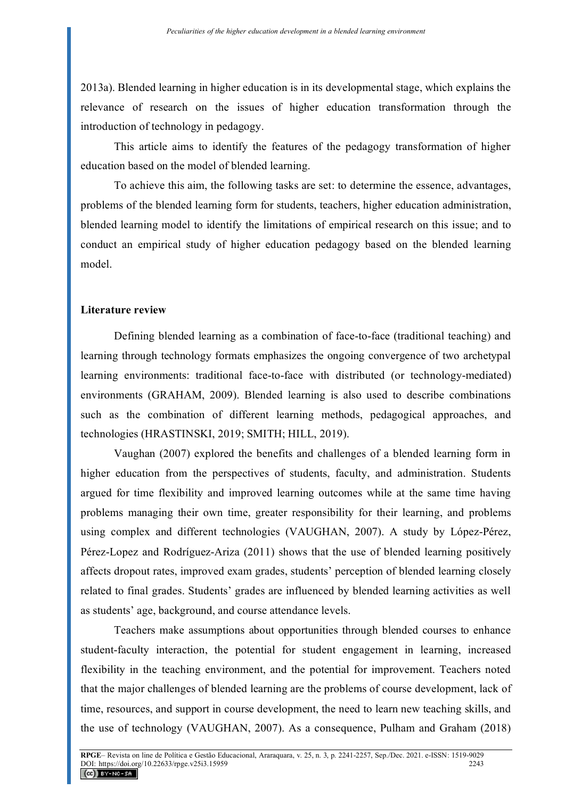2013a). Blended learning in higher education is in its developmental stage, which explains the relevance of research on the issues of higher education transformation through the introduction of technology in pedagogy.

This article aims to identify the features of the pedagogy transformation of higher education based on the model of blended learning.

To achieve this aim, the following tasks are set: to determine the essence, advantages, problems of the blended learning form for students, teachers, higher education administration, blended learning model to identify the limitations of empirical research on this issue; and to conduct an empirical study of higher education pedagogy based on the blended learning model.

#### **Literature review**

Defining blended learning as a combination of face-to-face (traditional teaching) and learning through technology formats emphasizes the ongoing convergence of two archetypal learning environments: traditional face-to-face with distributed (or technology-mediated) environments (GRAHAM, 2009). Blended learning is also used to describe combinations such as the combination of different learning methods, pedagogical approaches, and technologies (HRASTINSKI, 2019; SMITH; HILL, 2019).

Vaughan (2007) explored the benefits and challenges of a blended learning form in higher education from the perspectives of students, faculty, and administration. Students argued for time flexibility and improved learning outcomes while at the same time having problems managing their own time, greater responsibility for their learning, and problems using complex and different technologies (VAUGHAN, 2007). A study by López-Pérez, Pérez-Lopez and Rodríguez-Ariza (2011) shows that the use of blended learning positively affects dropout rates, improved exam grades, students' perception of blended learning closely related to final grades. Students' grades are influenced by blended learning activities as well as students' age, background, and course attendance levels.

Teachers make assumptions about opportunities through blended courses to enhance student-faculty interaction, the potential for student engagement in learning, increased flexibility in the teaching environment, and the potential for improvement. Teachers noted that the major challenges of blended learning are the problems of course development, lack of time, resources, and support in course development, the need to learn new teaching skills, and the use of technology (VAUGHAN, 2007). As a consequence, Pulham and Graham (2018)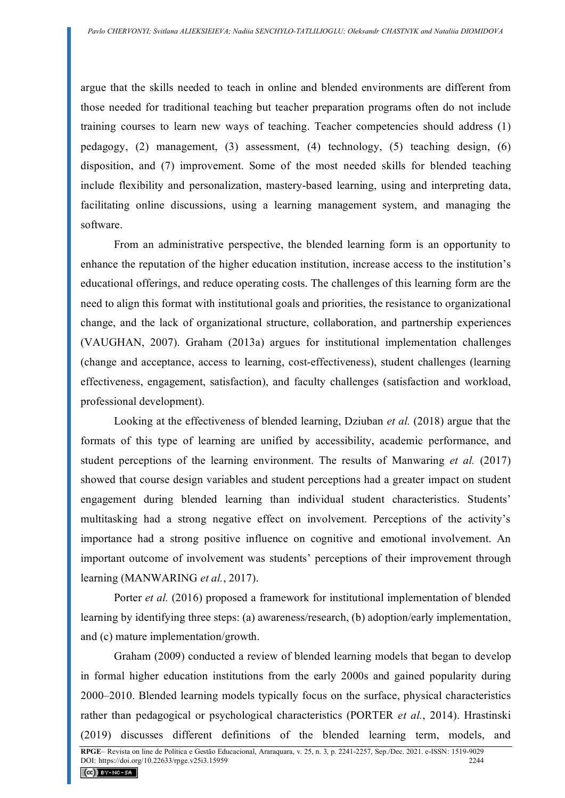argue that the skills needed to teach in online and blended environments are different from those needed for traditional teaching but teacher preparation programs often do not include training courses to learn new ways of teaching. Teacher competencies should address (1) pedagogy, (2) management, (3) assessment, (4) technology, (5) teaching design, (6) disposition, and (7) improvement. Some of the most needed skills for blended teaching include flexibility and personalization, mastery-based learning, using and interpreting data, facilitating online discussions, using a learning management system, and managing the software.

From an administrative perspective, the blended learning form is an opportunity to enhance the reputation of the higher education institution, increase access to the institution's educational offerings, and reduce operating costs. The challenges of this learning form are the need to align this format with institutional goals and priorities, the resistance to organizational change, and the lack of organizational structure, collaboration, and partnership experiences (VAUGHAN, 2007). Graham (2013a) argues for institutional implementation challenges (change and acceptance, access to learning, cost-effectiveness), student challenges (learning effectiveness, engagement, satisfaction), and faculty challenges (satisfaction and workload, professional development).

Looking at the effectiveness of blended learning, Dziuban *et al.* (2018) argue that the formats of this type of learning are unified by accessibility, academic performance, and student perceptions of the learning environment. The results of Manwaring *et al.* (2017) showed that course design variables and student perceptions had a greater impact on student engagement during blended learning than individual student characteristics. Students' multitasking had a strong negative effect on involvement. Perceptions of the activity's importance had a strong positive influence on cognitive and emotional involvement. An important outcome of involvement was students' perceptions of their improvement through learning (MANWARING *et al.*, 2017).

Porter *et al.* (2016) proposed a framework for institutional implementation of blended learning by identifying three steps: (a) awareness/research, (b) adoption/early implementation, and (c) mature implementation/growth.

Graham (2009) conducted a review of blended learning models that began to develop in formal higher education institutions from the early 2000s and gained popularity during 2000–2010. Blended learning models typically focus on the surface, physical characteristics rather than pedagogical or psychological characteristics (PORTER *et al.*, 2014). Hrastinski (2019) discusses different definitions of the blended learning term, models, and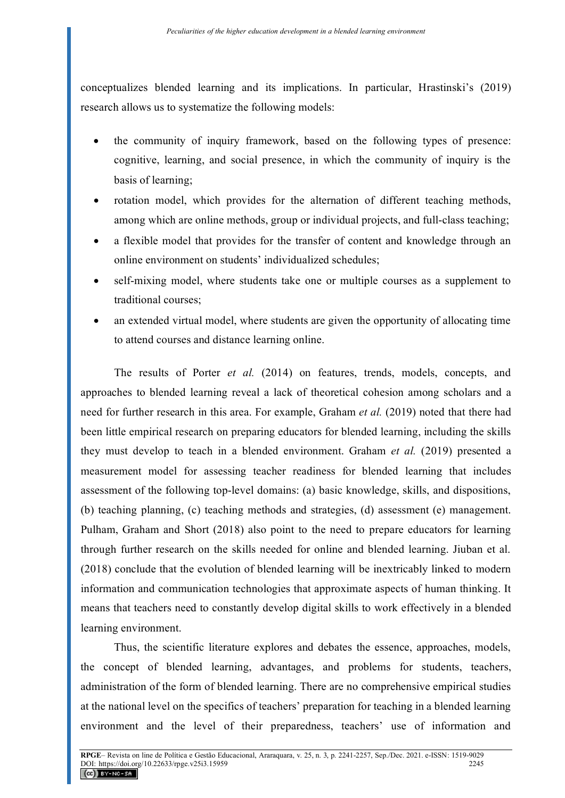conceptualizes blended learning and its implications. In particular, Hrastinski's (2019) research allows us to systematize the following models:

- the community of inquiry framework, based on the following types of presence: cognitive, learning, and social presence, in which the community of inquiry is the basis of learning;
- rotation model, which provides for the alternation of different teaching methods, among which are online methods, group or individual projects, and full-class teaching;
- a flexible model that provides for the transfer of content and knowledge through an online environment on students' individualized schedules;
- self-mixing model, where students take one or multiple courses as a supplement to traditional courses;
- an extended virtual model, where students are given the opportunity of allocating time to attend courses and distance learning online.

The results of Porter *et al.* (2014) on features, trends, models, concepts, and approaches to blended learning reveal a lack of theoretical cohesion among scholars and a need for further research in this area. For example, Graham *et al.* (2019) noted that there had been little empirical research on preparing educators for blended learning, including the skills they must develop to teach in a blended environment. Graham *et al.* (2019) presented a measurement model for assessing teacher readiness for blended learning that includes assessment of the following top-level domains: (a) basic knowledge, skills, and dispositions, (b) teaching planning, (c) teaching methods and strategies, (d) assessment (e) management. Pulham, Graham and Short (2018) also point to the need to prepare educators for learning through further research on the skills needed for online and blended learning. Jiuban et al. (2018) conclude that the evolution of blended learning will be inextricably linked to modern information and communication technologies that approximate aspects of human thinking. It means that teachers need to constantly develop digital skills to work effectively in a blended learning environment.

Thus, the scientific literature explores and debates the essence, approaches, models, the concept of blended learning, advantages, and problems for students, teachers, administration of the form of blended learning. There are no comprehensive empirical studies at the national level on the specifics of teachers' preparation for teaching in a blended learning environment and the level of their preparedness, teachers' use of information and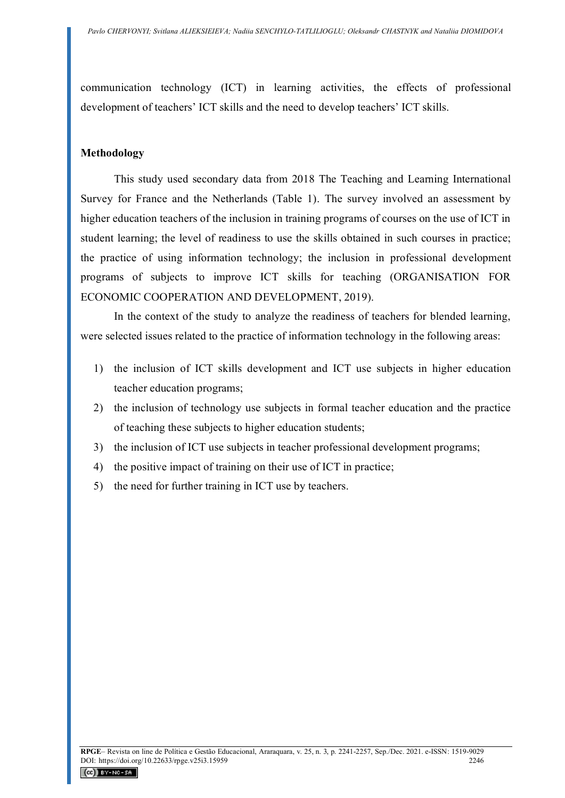communication technology (ICT) in learning activities, the effects of professional development of teachers' ICT skills and the need to develop teachers' ICT skills.

#### **Methodology**

This study used secondary data from 2018 The Teaching and Learning International Survey for France and the Netherlands (Table 1). The survey involved an assessment by higher education teachers of the inclusion in training programs of courses on the use of ICT in student learning; the level of readiness to use the skills obtained in such courses in practice; the practice of using information technology; the inclusion in professional development programs of subjects to improve ICT skills for teaching (ORGANISATION FOR ECONOMIC COOPERATION AND DEVELOPMENT, 2019).

In the context of the study to analyze the readiness of teachers for blended learning, were selected issues related to the practice of information technology in the following areas:

- 1) the inclusion of ICT skills development and ICT use subjects in higher education teacher education programs;
- 2) the inclusion of technology use subjects in formal teacher education and the practice of teaching these subjects to higher education students;
- 3) the inclusion of ICT use subjects in teacher professional development programs;
- 4) the positive impact of training on their use of ICT in practice;
- 5) the need for further training in ICT use by teachers.

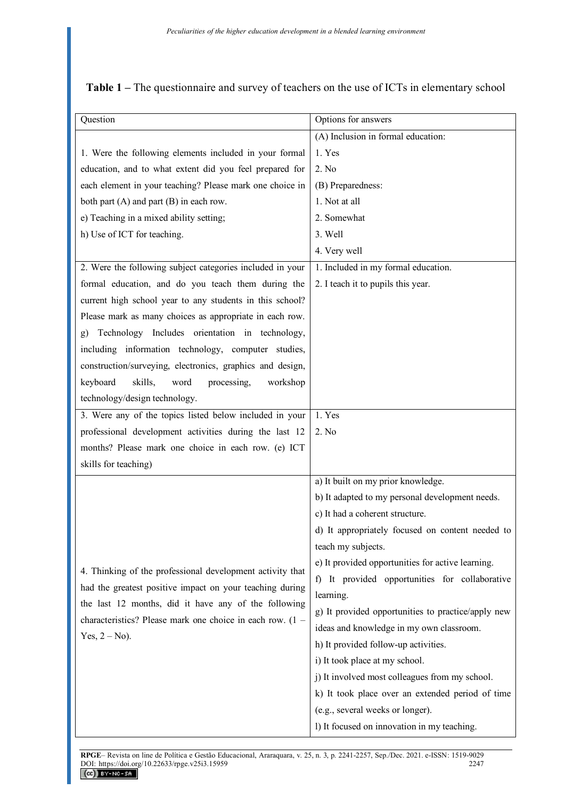| Question                                                       | Options for answers                                         |
|----------------------------------------------------------------|-------------------------------------------------------------|
|                                                                | (A) Inclusion in formal education:                          |
| 1. Were the following elements included in your formal         | 1. Yes                                                      |
| education, and to what extent did you feel prepared for        | 2. No                                                       |
| each element in your teaching? Please mark one choice in       | (B) Preparedness:                                           |
| both part (A) and part (B) in each row.                        | 1. Not at all                                               |
| e) Teaching in a mixed ability setting;                        | 2. Somewhat                                                 |
| h) Use of ICT for teaching.                                    | 3. Well                                                     |
|                                                                | 4. Very well                                                |
| 2. Were the following subject categories included in your      | 1. Included in my formal education.                         |
| formal education, and do you teach them during the             | 2. I teach it to pupils this year.                          |
| current high school year to any students in this school?       |                                                             |
| Please mark as many choices as appropriate in each row.        |                                                             |
| Technology Includes orientation in technology,<br>$\mathbf{g}$ |                                                             |
| including information technology, computer studies,            |                                                             |
| construction/surveying, electronics, graphics and design,      |                                                             |
| skills,<br>keyboard<br>processing,<br>word<br>workshop         |                                                             |
| technology/design technology.                                  |                                                             |
| 3. Were any of the topics listed below included in your        | 1. Yes                                                      |
| professional development activities during the last 12         | 2. No                                                       |
| months? Please mark one choice in each row. (e) ICT            |                                                             |
| skills for teaching)                                           |                                                             |
|                                                                | a) It built on my prior knowledge.                          |
|                                                                | b) It adapted to my personal development needs.             |
|                                                                | c) It had a coherent structure.                             |
|                                                                | d) It appropriately focused on content needed to            |
|                                                                | teach my subjects.                                          |
| 4. Thinking of the professional development activity that      | e) It provided opportunities for active learning.           |
| had the greatest positive impact on your teaching during       | It provided opportunities for collaborative<br>$\mathbf{f}$ |
| the last 12 months, did it have any of the following           | learning.                                                   |
| characteristics? Please mark one choice in each row. (1 -      | g) It provided opportunities to practice/apply new          |
| Yes, $2 - No$ ).                                               | ideas and knowledge in my own classroom.                    |
|                                                                | h) It provided follow-up activities.                        |
|                                                                | i) It took place at my school.                              |
|                                                                | j) It involved most colleagues from my school.              |
|                                                                | k) It took place over an extended period of time            |
|                                                                | (e.g., several weeks or longer).                            |
|                                                                | l) It focused on innovation in my teaching.                 |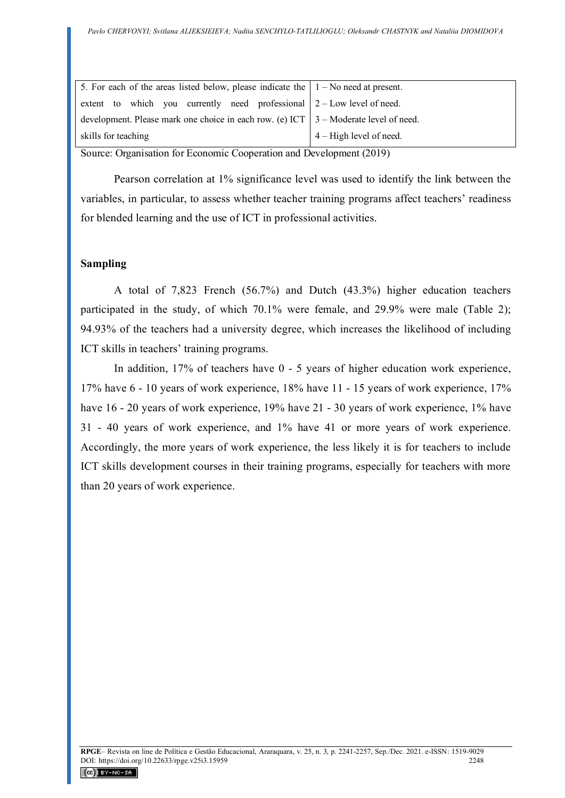| 5. For each of the areas listed below, please indicate the $ 1 - No \text{ need at present.} $ |                                 |
|------------------------------------------------------------------------------------------------|---------------------------------|
| extent to which you currently need professional $2$ – Low level of need.                       |                                 |
| development. Please mark one choice in each row. (e) ICT $\mid$ 3 – Moderate level of need.    |                                 |
| skills for teaching                                                                            | $\vert$ 4 – High level of need. |

Source: Organisation for Economic Cooperation and Development (2019)

Pearson correlation at 1% significance level was used to identify the link between the variables, in particular, to assess whether teacher training programs affect teachers' readiness for blended learning and the use of ICT in professional activities.

### **Sampling**

A total of 7,823 French (56.7%) and Dutch (43.3%) higher education teachers participated in the study, of which 70.1% were female, and 29.9% were male (Table 2); 94.93% of the teachers had a university degree, which increases the likelihood of including ICT skills in teachers' training programs.

In addition, 17% of teachers have 0 - 5 years of higher education work experience, 17% have 6 - 10 years of work experience, 18% have 11 - 15 years of work experience, 17% have 16 - 20 years of work experience, 19% have 21 - 30 years of work experience, 1% have 31 - 40 years of work experience, and 1% have 41 or more years of work experience. Accordingly, the more years of work experience, the less likely it is for teachers to include ICT skills development courses in their training programs, especially for teachers with more than 20 years of work experience.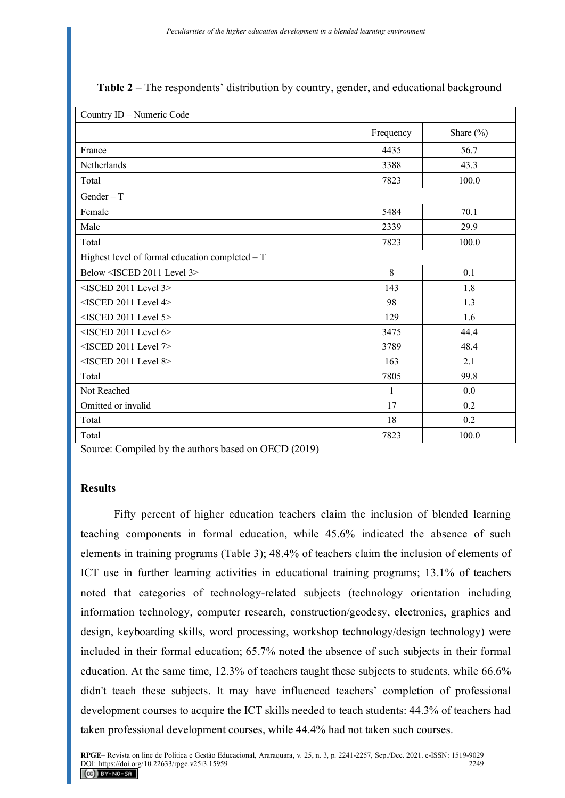| Country ID - Numeric Code                         |           |               |  |
|---------------------------------------------------|-----------|---------------|--|
|                                                   | Frequency | Share $(\% )$ |  |
| France                                            | 4435      | 56.7          |  |
| Netherlands                                       | 3388      | 43.3          |  |
| Total                                             | 7823      | 100.0         |  |
| Gender $-$ T                                      |           |               |  |
| Female                                            | 5484      | 70.1          |  |
| Male                                              | 2339      | 29.9          |  |
| Total                                             | 7823      | 100.0         |  |
| Highest level of formal education completed $-$ T |           |               |  |
| Below <isced 2011="" 3="" level=""></isced>       | 8         | 0.1           |  |
| $<$ ISCED 2011 Level 3>                           | 143       | 1.8           |  |
| <isced 2011="" 4="" level=""></isced>             | 98        | 1.3           |  |
| <isced 2011="" 5="" level=""></isced>             | 129       | 1.6           |  |
| <isced 2011="" 6="" level=""></isced>             | 3475      | 44.4          |  |
| <isced 2011="" 7="" level=""></isced>             | 3789      | 48.4          |  |
| <isced 2011="" 8="" level=""></isced>             | 163       | 2.1           |  |
| Total                                             | 7805      | 99.8          |  |
| Not Reached                                       | 1         | 0.0           |  |
| Omitted or invalid                                | 17        | 0.2           |  |
| Total                                             | 18        | 0.2           |  |
| Total                                             | 7823      | 100.0         |  |

Source: Compiled by the authors based on OECD (2019)

### **Results**

Fifty percent of higher education teachers claim the inclusion of blended learning teaching components in formal education, while 45.6% indicated the absence of such elements in training programs (Table 3); 48.4% of teachers claim the inclusion of elements of ICT use in further learning activities in educational training programs; 13.1% of teachers noted that categories of technology-related subjects (technology orientation including information technology, computer research, construction/geodesy, electronics, graphics and design, keyboarding skills, word processing, workshop technology/design technology) were included in their formal education; 65.7% noted the absence of such subjects in their formal education. At the same time, 12.3% of teachers taught these subjects to students, while 66.6% didn't teach these subjects. It may have influenced teachers' completion of professional development courses to acquire the ICT skills needed to teach students: 44.3% of teachers had taken professional development courses, while 44.4% had not taken such courses.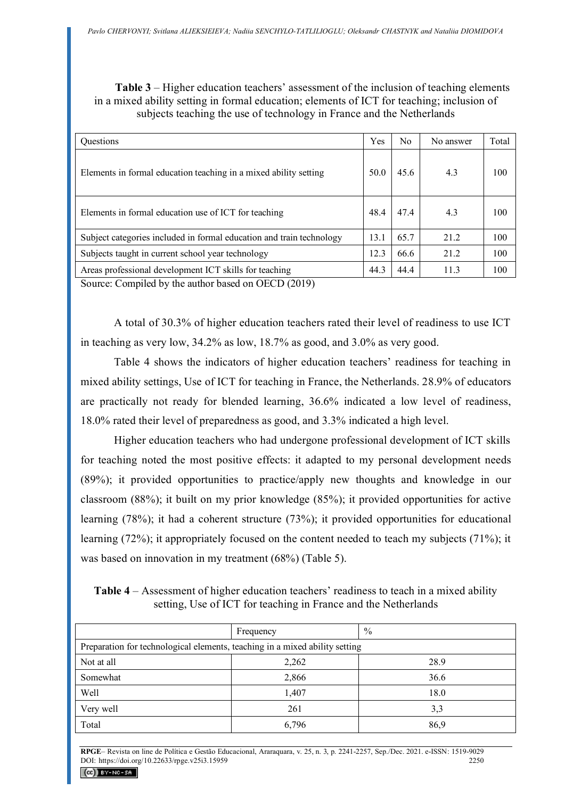**Table 3** – Higher education teachers' assessment of the inclusion of teaching elements in a mixed ability setting in formal education; elements of ICT for teaching; inclusion of subjects teaching the use of technology in France and the Netherlands

| <b>Ouestions</b>                                                     | Yes  | No   | No answer | Total |
|----------------------------------------------------------------------|------|------|-----------|-------|
| Elements in formal education teaching in a mixed ability setting     | 50.0 | 45.6 | 4.3       | 100   |
| Elements in formal education use of ICT for teaching                 | 48.4 | 47.4 | 4.3       | 100   |
| Subject categories included in formal education and train technology | 13.1 | 65.7 | 21.2      | 100   |
| Subjects taught in current school year technology                    | 12.3 | 66.6 | 21.2      | 100   |
| Areas professional development ICT skills for teaching               | 44.3 | 44.4 | 11.3      | 100   |

Source: Compiled by the author based on OECD (2019)

A total of 30.3% of higher education teachers rated their level of readiness to use ICT in teaching as very low, 34.2% as low, 18.7% as good, and 3.0% as very good.

Table 4 shows the indicators of higher education teachers' readiness for teaching in mixed ability settings, Use of ICT for teaching in France, the Netherlands. 28.9% of educators are practically not ready for blended learning, 36.6% indicated a low level of readiness, 18.0% rated their level of preparedness as good, and 3.3% indicated a high level.

Higher education teachers who had undergone professional development of ICT skills for teaching noted the most positive effects: it adapted to my personal development needs (89%); it provided opportunities to practice/apply new thoughts and knowledge in our classroom (88%); it built on my prior knowledge (85%); it provided opportunities for active learning (78%); it had a coherent structure (73%); it provided opportunities for educational learning (72%); it appropriately focused on the content needed to teach my subjects (71%); it was based on innovation in my treatment (68%) (Table 5).

**Table 4** – Assessment of higher education teachers' readiness to teach in a mixed ability setting, Use of ICT for teaching in France and the Netherlands

|                                                                             | Frequency | $\%$ |  |  |  |
|-----------------------------------------------------------------------------|-----------|------|--|--|--|
| Preparation for technological elements, teaching in a mixed ability setting |           |      |  |  |  |
| Not at all                                                                  | 2,262     | 28.9 |  |  |  |
| Somewhat                                                                    | 2,866     | 36.6 |  |  |  |
| Well                                                                        | 1,407     | 18.0 |  |  |  |
| Very well                                                                   | 261       | 3,3  |  |  |  |
| Total                                                                       | 6,796     | 86,9 |  |  |  |

**RPGE**– Revista on line de Política e Gestão Educacional, Araraquara, v. 25, n. 3, p. 2241-2257, Sep./Dec. 2021. e-ISSN: 1519-9029 DOI: https://doi.org/10.22633/rpge.v25i3.15959

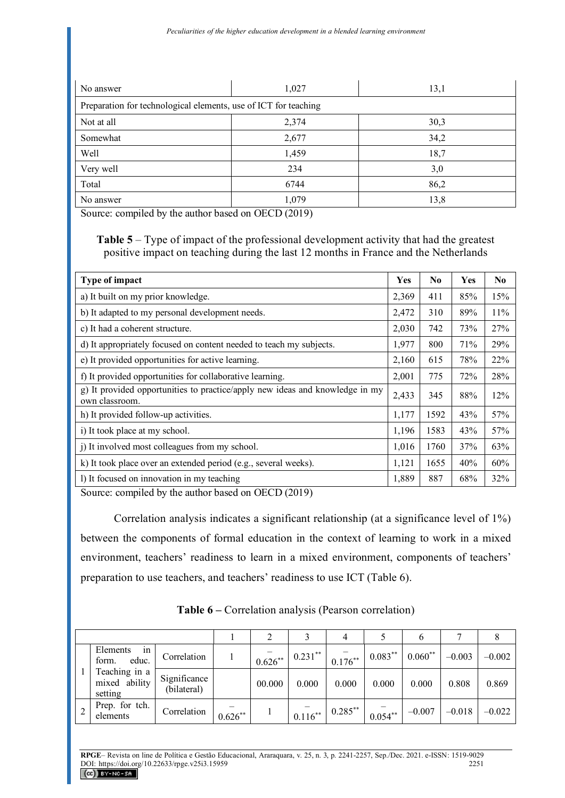| No answer                                                       | 1,027 | 13,1 |
|-----------------------------------------------------------------|-------|------|
| Preparation for technological elements, use of ICT for teaching |       |      |
| Not at all                                                      | 2,374 | 30,3 |
| Somewhat                                                        | 2,677 | 34,2 |
| Well                                                            | 1,459 | 18,7 |
| Very well                                                       | 234   | 3,0  |
| Total                                                           | 6744  | 86,2 |
| No answer                                                       | 1,079 | 13,8 |

Source: compiled by the author based on OECD (2019)

**Table 5** – Type of impact of the professional development activity that had the greatest positive impact on teaching during the last 12 months in France and the Netherlands

| <b>Type of impact</b>                                                                          | Yes   | No.  | Yes | N <sub>0</sub> |
|------------------------------------------------------------------------------------------------|-------|------|-----|----------------|
| a) It built on my prior knowledge.                                                             | 2,369 | 411  | 85% | 15%            |
| b) It adapted to my personal development needs.                                                | 2,472 | 310  | 89% | 11%            |
| c) It had a coherent structure.                                                                | 2,030 | 742  | 73% | 27%            |
| d) It appropriately focused on content needed to teach my subjects.                            | 1,977 | 800  | 71% | 29%            |
| e) It provided opportunities for active learning.                                              | 2,160 | 615  | 78% | 22%            |
| f) It provided opportunities for collaborative learning.                                       | 2,001 | 775  | 72% | 28%            |
| g) It provided opportunities to practice/apply new ideas and knowledge in my<br>own classroom. | 2,433 | 345  | 88% | 12%            |
| h) It provided follow-up activities.                                                           | 1,177 | 1592 | 43% | 57%            |
| i) It took place at my school.                                                                 | 1,196 | 1583 | 43% | 57%            |
| j) It involved most colleagues from my school.                                                 | 1,016 | 1760 | 37% | 63%            |
| k) It took place over an extended period (e.g., several weeks).                                | 1,121 | 1655 | 40% | 60%            |
| 1) It focused on innovation in my teaching<br>CDOP (AOAO)                                      | 1,889 | 887  | 68% | 32%            |

Source: compiled by the author based on OECD (2019)

Correlation analysis indicates a significant relationship (at a significance level of 1%) between the components of formal education in the context of learning to work in a mixed environment, teachers' readiness to learn in a mixed environment, components of teachers' preparation to use teachers, and teachers' readiness to use ICT (Table 6).

|  |                                           |                             |           |           |            | 4          |            |           |          |          |
|--|-------------------------------------------|-----------------------------|-----------|-----------|------------|------------|------------|-----------|----------|----------|
|  | Elements<br>in<br>form.<br>educ.          | Correlation                 |           | $0.626**$ | $0.231***$ | $0.176***$ | $0.083***$ | $0.060**$ | $-0.003$ | $-0.002$ |
|  | Teaching in a<br>mixed ability<br>setting | Significance<br>(bilateral) |           | 00.000    | 0.000      | 0.000      | 0.000      | 0.000     | 0.808    | 0.869    |
|  | Prep. for tch.<br>elements                | Correlation                 | $0.626**$ |           | $0.116***$ | $0.285***$ | $0.054***$ | $-0.007$  | $-0.018$ | $-0.022$ |

**Table 6 –** Correlation analysis (Pearson correlation)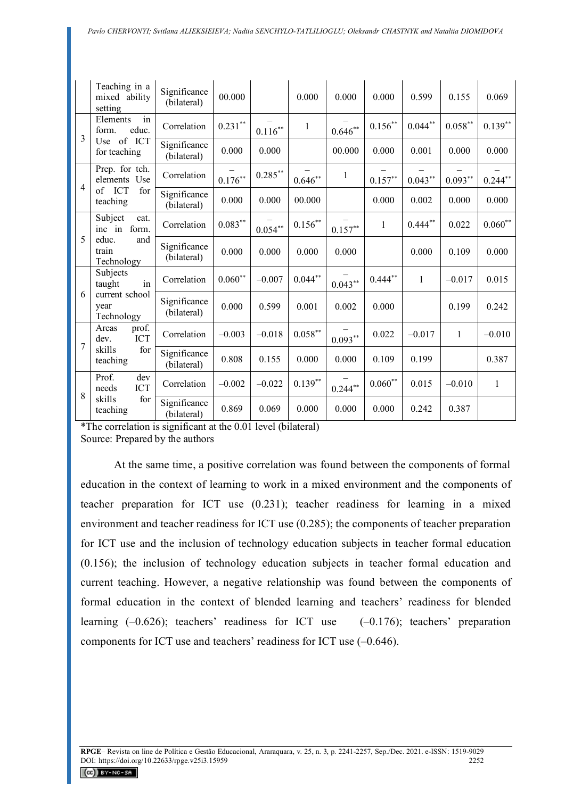|                | Teaching in a<br>mixed ability<br>setting | Significance<br>(bilateral) | 00.000             |            | 0.000              | 0.000              | 0.000              | 0.599              | 0.155        | 0.069        |
|----------------|-------------------------------------------|-----------------------------|--------------------|------------|--------------------|--------------------|--------------------|--------------------|--------------|--------------|
| 3              | in<br>Elements<br>educ.<br>form.          | Correlation                 | $0.231***$         | $0.116***$ | $\mathbf{1}$       | $0.646**$          | $0.156^{**}$       | $0.044^{\ast\ast}$ | $0.058***$   | $0.139**$    |
|                | Use of<br>ICT<br>for teaching             | Significance<br>(bilateral) | 0.000              | 0.000      |                    | 00.000             | 0.000              | 0.001              | 0.000        | 0.000        |
| $\overline{4}$ | Prep. for tch.<br>elements Use            | Correlation                 | $0.176***$         | $0.285***$ | $0.646**$          | $\mathbf{1}$       | $0.157^{\ast\ast}$ | $0.043***$         | $0.093**$    | $0.244**$    |
|                | of ICT<br>for<br>teaching                 | Significance<br>(bilateral) | 0.000              | 0.000      | 00.000             |                    | 0.000              | 0.002              | 0.000        | 0.000        |
| 5              | Subject<br>cat.<br>form.<br>inc in        | Correlation                 | $0.083**$          | $0.054**$  | $0.156***$         | $0.157^{\ast\ast}$ | $\mathbf{1}$       | $0.444**$          | 0.022        | $0.060**$    |
|                | educ.<br>and<br>train<br>Technology       | Significance<br>(bilateral) | 0.000              | 0.000      | 0.000              | 0.000              |                    | 0.000              | 0.109        | 0.000        |
|                | Subjects<br>in<br>taught                  | Correlation                 | $0.060^{\ast\ast}$ | $-0.007$   | $0.044**$          | $0.043**$          | $0.444$ **         | $\mathbf{1}$       | $-0.017$     | 0.015        |
| 6              | current school<br>year<br>Technology      | Significance<br>(bilateral) | 0.000              | 0.599      | 0.001              | 0.002              | 0.000              |                    | 0.199        | 0.242        |
| 7              | prof.<br>Areas<br><b>ICT</b><br>dev.      | Correlation                 | $-0.003$           | $-0.018$   | $0.058^{\ast\ast}$ | $0.093**$          | 0.022              | $-0.017$           | $\mathbf{1}$ | $-0.010$     |
|                | skills<br>for<br>teaching                 | Significance<br>(bilateral) | 0.808              | 0.155      | 0.000              | 0.000              | 0.109              | 0.199              |              | 0.387        |
| 8              | Prof.<br>dev<br><b>ICT</b><br>needs       | Correlation                 | $-0.002$           | $-0.022$   | $0.139**$          | $0.244**$          | $0.060^{\ast\ast}$ | 0.015              | $-0.010$     | $\mathbf{1}$ |
|                | skills<br>for<br>teaching                 | Significance<br>(bilateral) | 0.869              | 0.069      | 0.000              | 0.000              | 0.000              | 0.242              | 0.387        |              |

\*The correlation is significant at the 0.01 level (bilateral) Source: Prepared by the authors

At the same time, a positive correlation was found between the components of formal education in the context of learning to work in a mixed environment and the components of teacher preparation for ICT use (0.231); teacher readiness for learning in a mixed environment and teacher readiness for ICT use (0.285); the components of teacher preparation for ICT use and the inclusion of technology education subjects in teacher formal education (0.156); the inclusion of technology education subjects in teacher formal education and current teaching. However, a negative relationship was found between the components of formal education in the context of blended learning and teachers' readiness for blended learning (–0.626); teachers' readiness for ICT use (–0.176); teachers' preparation components for ICT use and teachers' readiness for ICT use (–0.646).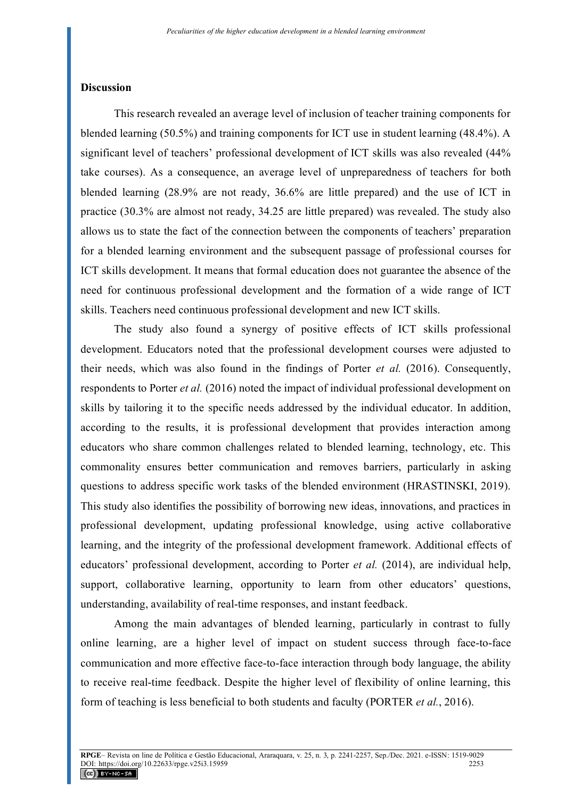#### **Discussion**

This research revealed an average level of inclusion of teacher training components for blended learning (50.5%) and training components for ICT use in student learning (48.4%). A significant level of teachers' professional development of ICT skills was also revealed (44% take courses). As a consequence, an average level of unpreparedness of teachers for both blended learning (28.9% are not ready, 36.6% are little prepared) and the use of ICT in practice (30.3% are almost not ready, 34.25 are little prepared) was revealed. The study also allows us to state the fact of the connection between the components of teachers' preparation for a blended learning environment and the subsequent passage of professional courses for ICT skills development. It means that formal education does not guarantee the absence of the need for continuous professional development and the formation of a wide range of ICT skills. Teachers need continuous professional development and new ICT skills.

The study also found a synergy of positive effects of ICT skills professional development. Educators noted that the professional development courses were adjusted to their needs, which was also found in the findings of Porter *et al.* (2016). Consequently, respondents to Porter *et al.* (2016) noted the impact of individual professional development on skills by tailoring it to the specific needs addressed by the individual educator. In addition, according to the results, it is professional development that provides interaction among educators who share common challenges related to blended learning, technology, etc. This commonality ensures better communication and removes barriers, particularly in asking questions to address specific work tasks of the blended environment (HRASTINSKI, 2019). This study also identifies the possibility of borrowing new ideas, innovations, and practices in professional development, updating professional knowledge, using active collaborative learning, and the integrity of the professional development framework. Additional effects of educators' professional development, according to Porter *et al.* (2014), are individual help, support, collaborative learning, opportunity to learn from other educators' questions, understanding, availability of real-time responses, and instant feedback.

Among the main advantages of blended learning, particularly in contrast to fully online learning, are a higher level of impact on student success through face-to-face communication and more effective face-to-face interaction through body language, the ability to receive real-time feedback. Despite the higher level of flexibility of online learning, this form of teaching is less beneficial to both students and faculty (PORTER *et al.*, 2016).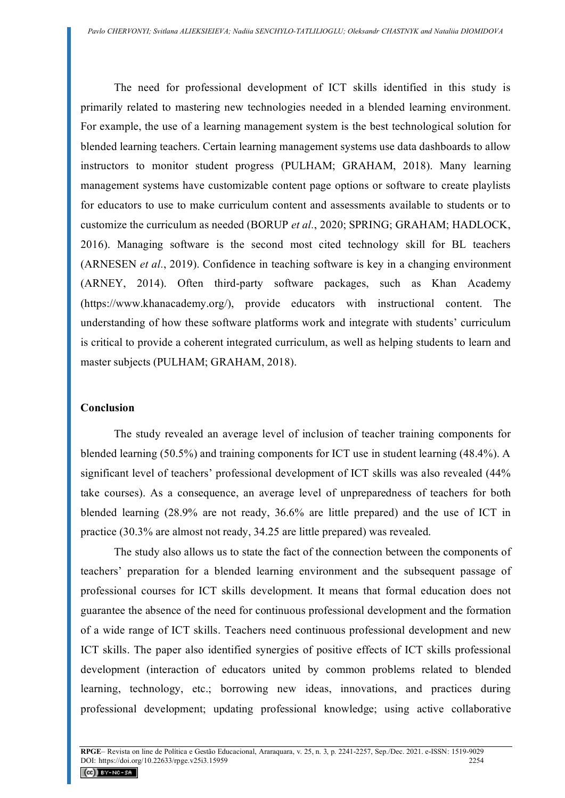The need for professional development of ICT skills identified in this study is primarily related to mastering new technologies needed in a blended learning environment. For example, the use of a learning management system is the best technological solution for blended learning teachers. Certain learning management systems use data dashboards to allow instructors to monitor student progress (PULHAM; GRAHAM, 2018). Many learning management systems have customizable content page options or software to create playlists for educators to use to make curriculum content and assessments available to students or to customize the curriculum as needed (BORUP *et al.*, 2020; SPRING; GRAHAM; HADLOCK, 2016). Managing software is the second most cited technology skill for BL teachers (ARNESEN *et al.*, 2019). Confidence in teaching software is key in a changing environment (ARNEY, 2014). Often third-party software packages, such as Khan Academy (https://www.khanacademy.org/), provide educators with instructional content. The understanding of how these software platforms work and integrate with students' curriculum is critical to provide a coherent integrated curriculum, as well as helping students to learn and master subjects (PULHAM; GRAHAM, 2018).

# **Conclusion**

The study revealed an average level of inclusion of teacher training components for blended learning (50.5%) and training components for ICT use in student learning (48.4%). A significant level of teachers' professional development of ICT skills was also revealed (44% take courses). As a consequence, an average level of unpreparedness of teachers for both blended learning (28.9% are not ready, 36.6% are little prepared) and the use of ICT in practice (30.3% are almost not ready, 34.25 are little prepared) was revealed.

The study also allows us to state the fact of the connection between the components of teachers' preparation for a blended learning environment and the subsequent passage of professional courses for ICT skills development. It means that formal education does not guarantee the absence of the need for continuous professional development and the formation of a wide range of ICT skills. Teachers need continuous professional development and new ICT skills. The paper also identified synergies of positive effects of ICT skills professional development (interaction of educators united by common problems related to blended learning, technology, etc.; borrowing new ideas, innovations, and practices during professional development; updating professional knowledge; using active collaborative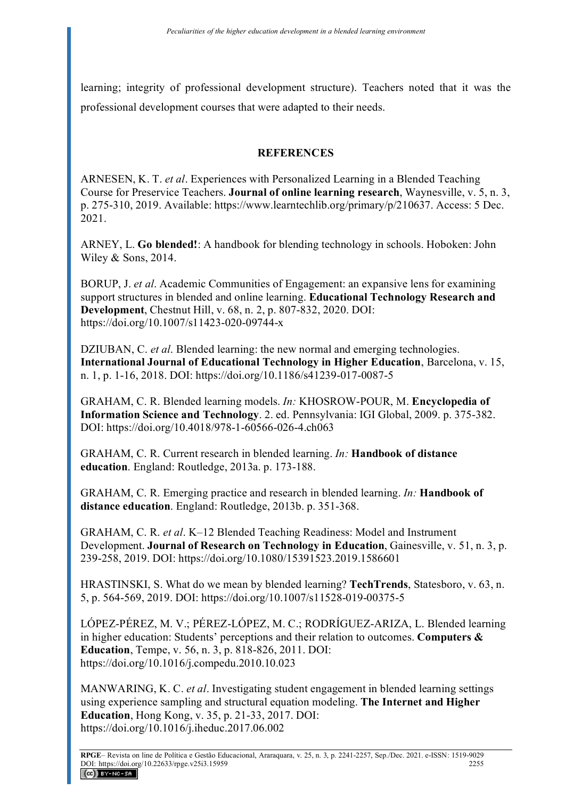learning; integrity of professional development structure). Teachers noted that it was the professional development courses that were adapted to their needs.

# **REFERENCES**

ARNESEN, K. T. *et al*. Experiences with Personalized Learning in a Blended Teaching Course for Preservice Teachers. **Journal of online learning research**, Waynesville, v. 5, n. 3, p. 275-310, 2019. Available: https://www.learntechlib.org/primary/p/210637. Access: 5 Dec. 2021.

ARNEY, L. **Go blended!**: A handbook for blending technology in schools. Hoboken: John Wiley & Sons, 2014.

BORUP, J. *et al*. Academic Communities of Engagement: an expansive lens for examining support structures in blended and online learning. **Educational Technology Research and Development**, Chestnut Hill, v. 68, n. 2, p. 807-832, 2020. DOI: https://doi.org/10.1007/s11423-020-09744-x

DZIUBAN, C. *et al*. Blended learning: the new normal and emerging technologies. **International Journal of Educational Technology in Higher Education**, Barcelona, v. 15, n. 1, p. 1-16, 2018. DOI: https://doi.org/10.1186/s41239-017-0087-5

GRAHAM, C. R. Blended learning models. *In:* KHOSROW-POUR, M. **Encyclopedia of Information Science and Technology**. 2. ed. Pennsylvania: IGI Global, 2009. p. 375-382. DOI: https://doi.org/10.4018/978-1-60566-026-4.ch063

GRAHAM, C. R. Current research in blended learning. *In:* **Handbook of distance education**. England: Routledge, 2013a. p. 173-188.

GRAHAM, C. R. Emerging practice and research in blended learning. *In:* **Handbook of distance education**. England: Routledge, 2013b. p. 351-368.

GRAHAM, C. R. *et al*. K–12 Blended Teaching Readiness: Model and Instrument Development. **Journal of Research on Technology in Education**, Gainesville, v. 51, n. 3, p. 239-258, 2019. DOI: https://doi.org/10.1080/15391523.2019.1586601

HRASTINSKI, S. What do we mean by blended learning? **TechTrends**, Statesboro, v. 63, n. 5, p. 564-569, 2019. DOI: https://doi.org/10.1007/s11528-019-00375-5

LÓPEZ-PÉREZ, M. V.; PÉREZ-LÓPEZ, M. C.; RODRÍGUEZ-ARIZA, L. Blended learning in higher education: Students' perceptions and their relation to outcomes. **Computers & Education**, Tempe, v. 56, n. 3, p. 818-826, 2011. DOI: https://doi.org/10.1016/j.compedu.2010.10.023

MANWARING, K. C. *et al*. Investigating student engagement in blended learning settings using experience sampling and structural equation modeling. **The Internet and Higher Education**, Hong Kong, v. 35, p. 21-33, 2017. DOI: https://doi.org/10.1016/j.iheduc.2017.06.002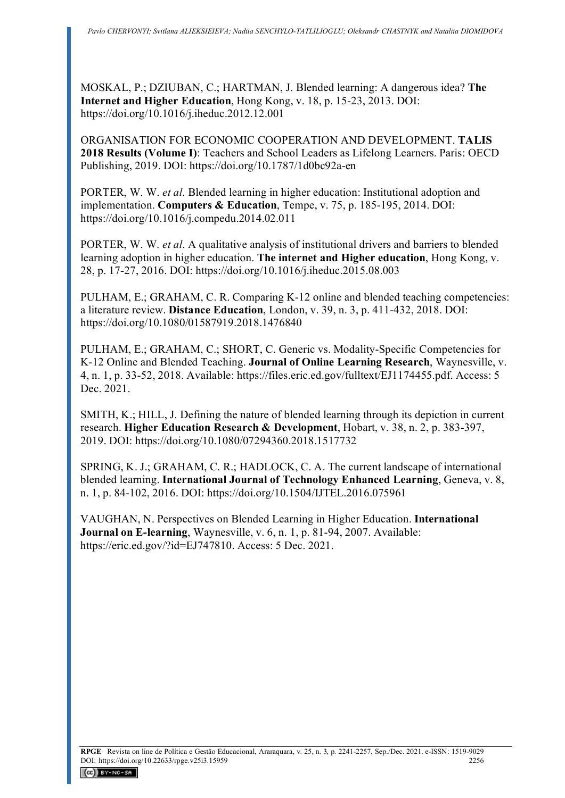MOSKAL, P.; DZIUBAN, C.; HARTMAN, J. Blended learning: A dangerous idea? **The Internet and Higher Education**, Hong Kong, v. 18, p. 15-23, 2013. DOI: https://doi.org/10.1016/j.iheduc.2012.12.001

ORGANISATION FOR ECONOMIC COOPERATION AND DEVELOPMENT. **TALIS 2018 Results (Volume I)**: Teachers and School Leaders as Lifelong Learners. Paris: OECD Publishing, 2019. DOI: https://doi.org/10.1787/1d0bc92a-en

PORTER, W. W. *et al*. Blended learning in higher education: Institutional adoption and implementation. **Computers & Education**, Tempe, v. 75, p. 185-195, 2014. DOI: https://doi.org/10.1016/j.compedu.2014.02.011

PORTER, W. W. *et al*. A qualitative analysis of institutional drivers and barriers to blended learning adoption in higher education. **The internet and Higher education**, Hong Kong, v. 28, p. 17-27, 2016. DOI: https://doi.org/10.1016/j.iheduc.2015.08.003

PULHAM, E.; GRAHAM, C. R. Comparing K-12 online and blended teaching competencies: a literature review. **Distance Education**, London, v. 39, n. 3, p. 411-432, 2018. DOI: https://doi.org/10.1080/01587919.2018.1476840

PULHAM, E.; GRAHAM, C.; SHORT, C. Generic vs. Modality-Specific Competencies for K-12 Online and Blended Teaching. **Journal of Online Learning Research**, Waynesville, v. 4, n. 1, p. 33-52, 2018. Available: https://files.eric.ed.gov/fulltext/EJ1174455.pdf. Access: 5 Dec. 2021.

SMITH, K.; HILL, J. Defining the nature of blended learning through its depiction in current research. **Higher Education Research & Development**, Hobart, v. 38, n. 2, p. 383-397, 2019. DOI: https://doi.org/10.1080/07294360.2018.1517732

SPRING, K. J.; GRAHAM, C. R.; HADLOCK, C. A. The current landscape of international blended learning. **International Journal of Technology Enhanced Learning**, Geneva, v. 8, n. 1, p. 84-102, 2016. DOI: https://doi.org/10.1504/IJTEL.2016.075961

VAUGHAN, N. Perspectives on Blended Learning in Higher Education. **International Journal on E-learning**, Waynesville, v. 6, n. 1, p. 81-94, 2007. Available: https://eric.ed.gov/?id=EJ747810. Access: 5 Dec. 2021.